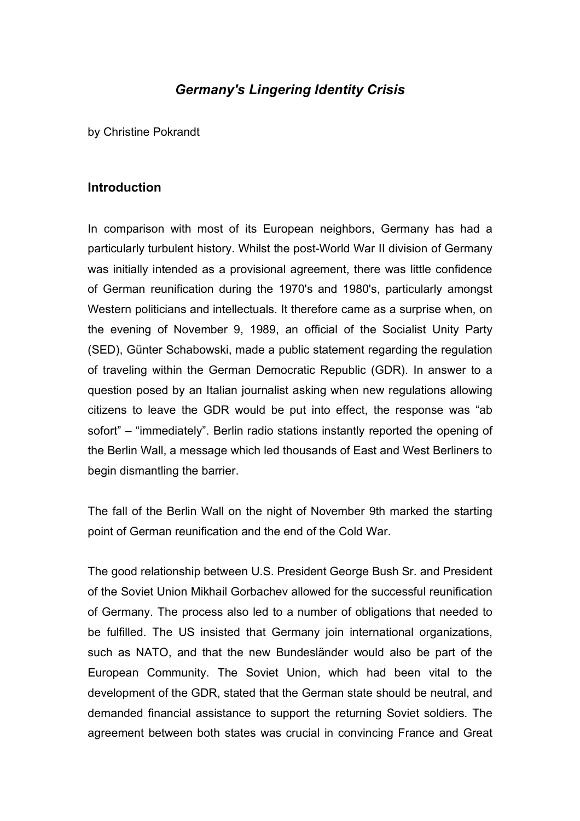## *Germany's Lingering Identity Crisis*

by Christine Pokrandt

## **Introduction**

In comparison with most of its European neighbors, Germany has had a particularly turbulent history. Whilst the post-World War II division of Germany was initially intended as a provisional agreement, there was little confidence of German reunification during the 1970's and 1980's, particularly amongst Western politicians and intellectuals. It therefore came as a surprise when, on the evening of November 9, 1989, an official of the Socialist Unity Party (SED), Günter Schabowski, made a public statement regarding the regulation of traveling within the German Democratic Republic (GDR). In answer to a question posed by an Italian journalist asking when new regulations allowing citizens to leave the GDR would be put into effect, the response was "ab sofort" – "immediately". Berlin radio stations instantly reported the opening of the Berlin Wall, a message which led thousands of East and West Berliners to begin dismantling the barrier.

The fall of the Berlin Wall on the night of November 9th marked the starting point of German reunification and the end of the Cold War.

The good relationship between U.S. President George Bush Sr. and President of the Soviet Union Mikhail Gorbachev allowed for the successful reunification of Germany. The process also led to a number of obligations that needed to be fulfilled. The US insisted that Germany join international organizations, such as NATO, and that the new Bundesländer would also be part of the European Community. The Soviet Union, which had been vital to the development of the GDR, stated that the German state should be neutral, and demanded financial assistance to support the returning Soviet soldiers. The agreement between both states was crucial in convincing France and Great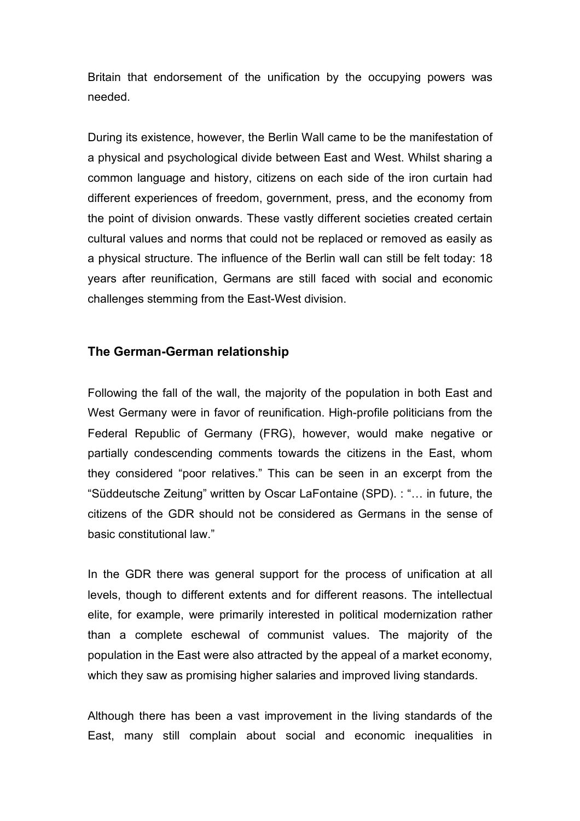Britain that endorsement of the unification by the occupying powers was needed.

During its existence, however, the Berlin Wall came to be the manifestation of a physical and psychological divide between East and West. Whilst sharing a common language and history, citizens on each side of the iron curtain had different experiences of freedom, government, press, and the economy from the point of division onwards. These vastly different societies created certain cultural values and norms that could not be replaced or removed as easily as a physical structure. The influence of the Berlin wall can still be felt today: 18 years after reunification, Germans are still faced with social and economic challenges stemming from the East-West division.

## **The German-German relationship**

Following the fall of the wall, the majority of the population in both East and West Germany were in favor of reunification. High-profile politicians from the Federal Republic of Germany (FRG), however, would make negative or partially condescending comments towards the citizens in the East, whom they considered "poor relatives." This can be seen in an excerpt from the "Süddeutsche Zeitung" written by Oscar LaFontaine (SPD). : "… in future, the citizens of the GDR should not be considered as Germans in the sense of basic constitutional law."

In the GDR there was general support for the process of unification at all levels, though to different extents and for different reasons. The intellectual elite, for example, were primarily interested in political modernization rather than a complete eschewal of communist values. The majority of the population in the East were also attracted by the appeal of a market economy, which they saw as promising higher salaries and improved living standards.

Although there has been a vast improvement in the living standards of the East, many still complain about social and economic inequalities in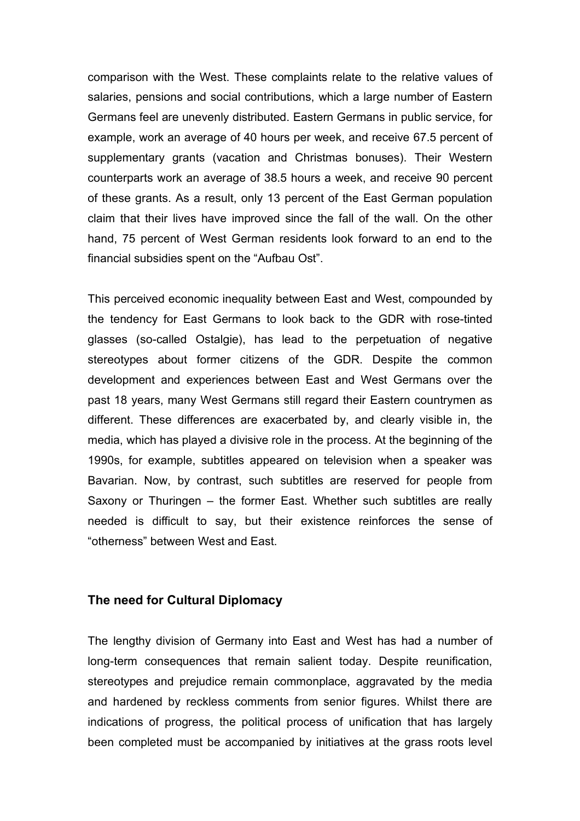comparison with the West. These complaints relate to the relative values of salaries, pensions and social contributions, which a large number of Eastern Germans feel are unevenly distributed. Eastern Germans in public service, for example, work an average of 40 hours per week, and receive 67.5 percent of supplementary grants (vacation and Christmas bonuses). Their Western counterparts work an average of 38.5 hours a week, and receive 90 percent of these grants. As a result, only 13 percent of the East German population claim that their lives have improved since the fall of the wall. On the other hand, 75 percent of West German residents look forward to an end to the financial subsidies spent on the "Aufbau Ost".

This perceived economic inequality between East and West, compounded by the tendency for East Germans to look back to the GDR with rose-tinted glasses (so-called Ostalgie), has lead to the perpetuation of negative stereotypes about former citizens of the GDR. Despite the common development and experiences between East and West Germans over the past 18 years, many West Germans still regard their Eastern countrymen as different. These differences are exacerbated by, and clearly visible in, the media, which has played a divisive role in the process. At the beginning of the 1990s, for example, subtitles appeared on television when a speaker was Bavarian. Now, by contrast, such subtitles are reserved for people from Saxony or Thuringen – the former East. Whether such subtitles are really needed is difficult to say, but their existence reinforces the sense of "otherness" between West and East.

## **The need for Cultural Diplomacy**

The lengthy division of Germany into East and West has had a number of long-term consequences that remain salient today. Despite reunification, stereotypes and prejudice remain commonplace, aggravated by the media and hardened by reckless comments from senior figures. Whilst there are indications of progress, the political process of unification that has largely been completed must be accompanied by initiatives at the grass roots level